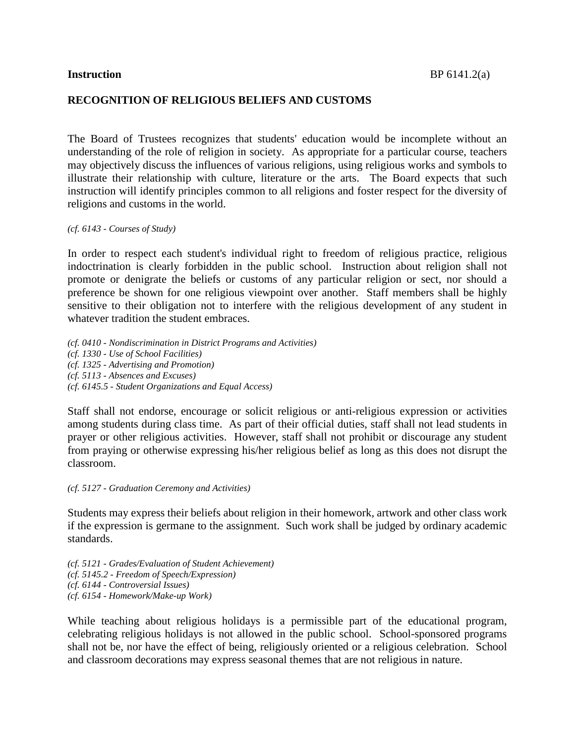### **RECOGNITION OF RELIGIOUS BELIEFS AND CUSTOMS**

The Board of Trustees recognizes that students' education would be incomplete without an understanding of the role of religion in society. As appropriate for a particular course, teachers may objectively discuss the influences of various religions, using religious works and symbols to illustrate their relationship with culture, literature or the arts. The Board expects that such instruction will identify principles common to all religions and foster respect for the diversity of religions and customs in the world.

*(cf. 6143 - Courses of Study)*

In order to respect each student's individual right to freedom of religious practice, religious indoctrination is clearly forbidden in the public school. Instruction about religion shall not promote or denigrate the beliefs or customs of any particular religion or sect, nor should a preference be shown for one religious viewpoint over another. Staff members shall be highly sensitive to their obligation not to interfere with the religious development of any student in whatever tradition the student embraces.

*(cf. 0410 - Nondiscrimination in District Programs and Activities) (cf. 1330 - Use of School Facilities) (cf. 1325 - Advertising and Promotion) (cf. 5113 - Absences and Excuses) (cf. 6145.5 - Student Organizations and Equal Access)*

Staff shall not endorse, encourage or solicit religious or anti-religious expression or activities among students during class time. As part of their official duties, staff shall not lead students in prayer or other religious activities. However, staff shall not prohibit or discourage any student from praying or otherwise expressing his/her religious belief as long as this does not disrupt the classroom.

*(cf. 5127 - Graduation Ceremony and Activities)*

Students may express their beliefs about religion in their homework, artwork and other class work if the expression is germane to the assignment. Such work shall be judged by ordinary academic standards.

*(cf. 5121 - Grades/Evaluation of Student Achievement) (cf. 5145.2 - Freedom of Speech/Expression) (cf. 6144 - Controversial Issues) (cf. 6154 - Homework/Make-up Work)*

While teaching about religious holidays is a permissible part of the educational program, celebrating religious holidays is not allowed in the public school. School-sponsored programs shall not be, nor have the effect of being, religiously oriented or a religious celebration. School and classroom decorations may express seasonal themes that are not religious in nature.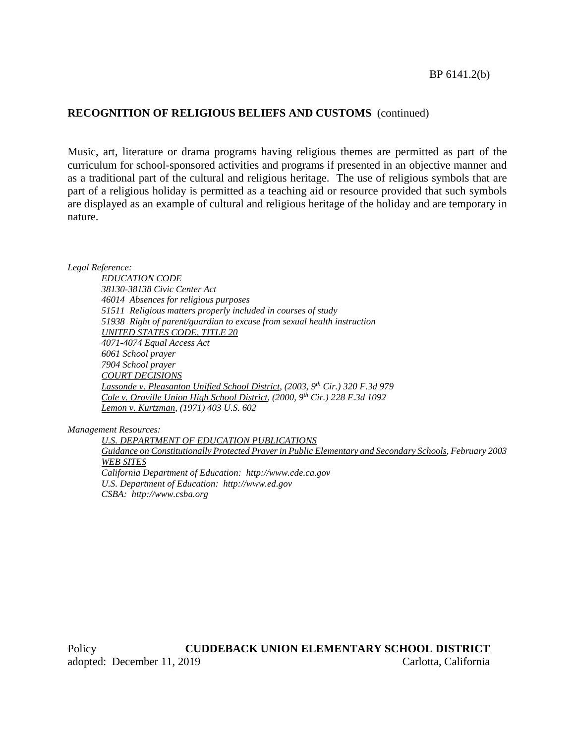# **RECOGNITION OF RELIGIOUS BELIEFS AND CUSTOMS** (continued)

Music, art, literature or drama programs having religious themes are permitted as part of the curriculum for school-sponsored activities and programs if presented in an objective manner and as a traditional part of the cultural and religious heritage. The use of religious symbols that are part of a religious holiday is permitted as a teaching aid or resource provided that such symbols are displayed as an example of cultural and religious heritage of the holiday and are temporary in nature.

*Legal Reference:*

*EDUCATION CODE 38130-38138 Civic Center Act 46014 Absences for religious purposes 51511 Religious matters properly included in courses of study 51938 Right of parent/guardian to excuse from sexual health instruction UNITED STATES CODE, TITLE 20 4071-4074 Equal Access Act 6061 School prayer 7904 School prayer COURT DECISIONS Lassonde v. Pleasanton Unified School District, (2003, 9th Cir.) 320 F.3d 979 Cole v. Oroville Union High School District, (2000, 9th Cir.) 228 F.3d 1092 Lemon v. Kurtzman, (1971) 403 U.S. 602*

*Management Resources:*

*U.S. DEPARTMENT OF EDUCATION PUBLICATIONS Guidance on Constitutionally Protected Prayerin Public Elementary and Secondary Schools, February 2003 WEB SITES California Department of Education: http://www.cde.ca.gov U.S. Department of Education: http://www.ed.gov CSBA: http://www.csba.org*

Policy **CUDDEBACK UNION ELEMENTARY SCHOOL DISTRICT** adopted: December 11, 2019 Carlotta, California